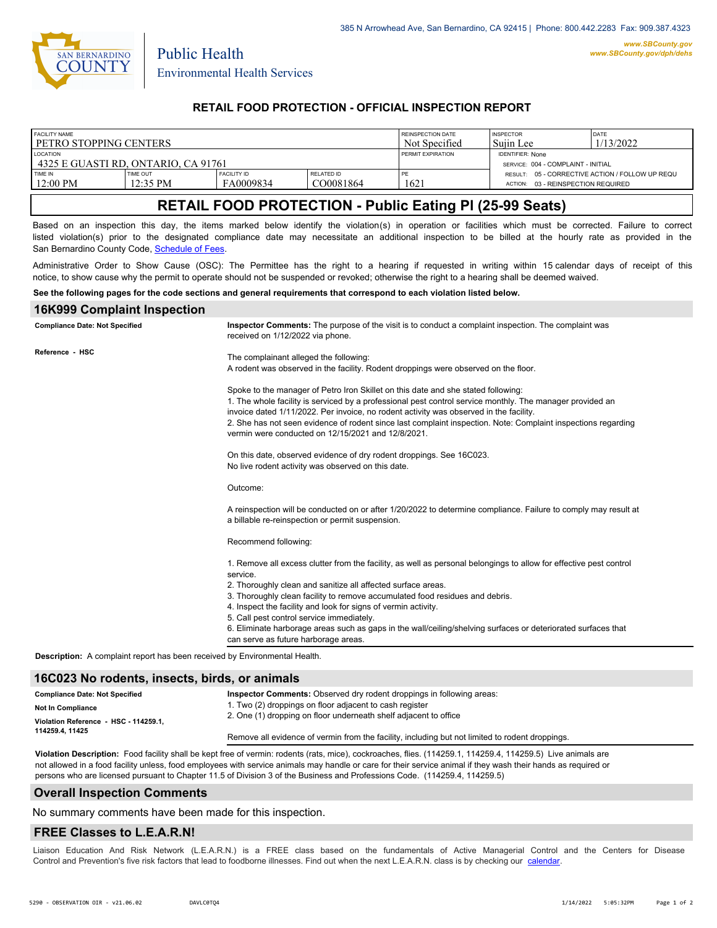

Public Health

## **RETAIL FOOD PROTECTION - OFFICIAL INSPECTION REPORT**

| <b>FACILITY NAME</b>                |            |                    |            | REINSPECTION DATE        | <b>INSPECTOR</b>                                | DATE      |
|-------------------------------------|------------|--------------------|------------|--------------------------|-------------------------------------------------|-----------|
| PETRO STOPPING CENTERS              |            |                    |            | Not Specified            | Suiin Lee                                       | 1/13/2022 |
| <b>LOCATION</b>                     |            |                    |            | <b>PERMIT EXPIRATION</b> | <b>IDENTIFIER: None</b>                         |           |
| 4325 E GUASTI RD. ONTARIO. CA 91761 |            |                    |            |                          | SERVICE: 004 - COMPLAINT - INITIAL              |           |
| TIME IN                             | TIME OUT   | <b>FACILITY ID</b> | RELATED ID | PE                       | RESULT: 05 - CORRECTIVE ACTION / FOLLOW UP REQU |           |
| $12:00 \text{ PM}$                  | $12:35$ PM | FA0009834          | CO0081864  | 1621                     | 03 - REINSPECTION REQUIRED<br>ACTION:           |           |
|                                     |            |                    |            |                          |                                                 |           |

# **RETAIL FOOD PROTECTION - Public Eating Pl (25-99 Seats)**

Based on an inspection this day, the items marked below identify the violation(s) in operation or facilities which must be corrected. Failure to correct listed violation(s) prior to the designated compliance date may necessitate an additional inspection to be billed at the hourly rate as provided in the San Bernardino County Code, Schedule of Fees

Administrative Order to Show Cause (OSC): The Permittee has the right to a hearing if requested in writing within 15 calendar days of receipt of this notice, to show cause why the permit to operate should not be suspended or revoked; otherwise the right to a hearing shall be deemed waived.

#### **See the following pages for the code sections and general requirements that correspond to each violation listed below.**

## **16K999 Complaint Inspection**

| <b>Compliance Date: Not Specified</b>                                             | Inspector Comments: The purpose of the visit is to conduct a complaint inspection. The complaint was<br>received on 1/12/2022 via phone.                                                                                                                                                                                                                                                                                                                        |
|-----------------------------------------------------------------------------------|-----------------------------------------------------------------------------------------------------------------------------------------------------------------------------------------------------------------------------------------------------------------------------------------------------------------------------------------------------------------------------------------------------------------------------------------------------------------|
| Reference - HSC                                                                   | The complainant alleged the following:<br>A rodent was observed in the facility. Rodent droppings were observed on the floor.                                                                                                                                                                                                                                                                                                                                   |
|                                                                                   | Spoke to the manager of Petro Iron Skillet on this date and she stated following:<br>1. The whole facility is serviced by a professional pest control service monthly. The manager provided an<br>invoice dated 1/11/2022. Per invoice, no rodent activity was observed in the facility.<br>2. She has not seen evidence of rodent since last complaint inspection. Note: Complaint inspections regarding<br>vermin were conducted on 12/15/2021 and 12/8/2021. |
|                                                                                   | On this date, observed evidence of dry rodent droppings. See 16C023.<br>No live rodent activity was observed on this date.                                                                                                                                                                                                                                                                                                                                      |
|                                                                                   | Outcome:                                                                                                                                                                                                                                                                                                                                                                                                                                                        |
|                                                                                   | A reinspection will be conducted on or after 1/20/2022 to determine compliance. Failure to comply may result at<br>a billable re-reinspection or permit suspension.                                                                                                                                                                                                                                                                                             |
|                                                                                   | Recommend following:                                                                                                                                                                                                                                                                                                                                                                                                                                            |
|                                                                                   | 1. Remove all excess clutter from the facility, as well as personal belongings to allow for effective pest control<br>service.                                                                                                                                                                                                                                                                                                                                  |
|                                                                                   | 2. Thoroughly clean and sanitize all affected surface areas.                                                                                                                                                                                                                                                                                                                                                                                                    |
|                                                                                   | 3. Thoroughly clean facility to remove accumulated food residues and debris.                                                                                                                                                                                                                                                                                                                                                                                    |
|                                                                                   | 4. Inspect the facility and look for signs of vermin activity.                                                                                                                                                                                                                                                                                                                                                                                                  |
|                                                                                   | 5. Call pest control service immediately.                                                                                                                                                                                                                                                                                                                                                                                                                       |
|                                                                                   | 6. Eliminate harborage areas such as gaps in the wall/ceiling/shelving surfaces or deteriorated surfaces that<br>can serve as future harborage areas.                                                                                                                                                                                                                                                                                                           |
| <b>Description:</b> A complaint report has been received by Environmental Health. |                                                                                                                                                                                                                                                                                                                                                                                                                                                                 |

#### **16C023 No rodents, insects, birds, or animals**

| <b>Compliance Date: Not Specified</b> | <b>Inspector Comments:</b> Observed dry rodent droppings in following areas:                    |  |
|---------------------------------------|-------------------------------------------------------------------------------------------------|--|
| <b>Not In Compliance</b>              | 1. Two (2) droppings on floor adjacent to cash register                                         |  |
| Violation Reference - HSC - 114259.1. | 2. One (1) dropping on floor underneath shelf adjacent to office                                |  |
| 114259.4.11425                        | Remove all evidence of vermin from the facility, including but not limited to rodent droppings. |  |

**Violation Description:** Food facility shall be kept free of vermin: rodents (rats, mice), cockroaches, flies. (114259.1, 114259.4, 114259.5) Live animals are not allowed in a food facility unless, food employees with service animals may handle or care for their service animal if they wash their hands as required or persons who are licensed pursuant to Chapter 11.5 of Division 3 of the Business and Professions Code. (114259.4, 114259.5)

#### **Overall Inspection Comments**

No summary comments have been made for this inspection.

### **FREE Classes to L.E.A.R.N!**

Liaison Education And Risk Network (L.E.A.R.N.) is a FREE class based on the fundamentals of Active Managerial Control and [the Centers](http://wp.sbcounty.gov/dph/events/) for Disease Control and Prevention's five risk factors that lead to foodborne illnesses. Find out when the next L.E.A.R.N. class is by checking our calendar.